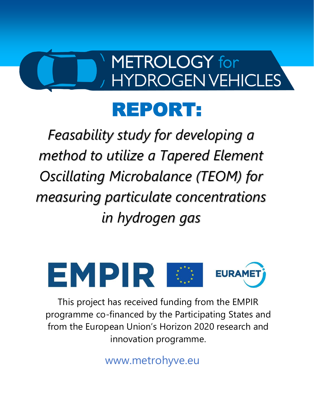# **METROLOGY** for **HYDROGEN VEHICLES**

# REPORT:

*Feasability study for developing a method to utilize a Tapered Element Oscillating Microbalance (TEOM) for measuring particulate concentrations in hydrogen gas*



This project has received funding from the EMPIR programme co-financed by the Participating States and from the European Union's Horizon 2020 research and innovation programme.

www.metrohyve.eu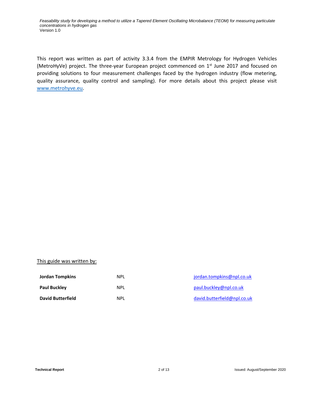This report was written as part of activity 3.3.4 from the EMPIR Metrology for Hydrogen Vehicles (MetroHyVe) project. The three-year European project commenced on 1<sup>st</sup> June 2017 and focused on providing solutions to four measurement challenges faced by the hydrogen industry (flow metering, quality assurance, quality control and sampling). For more details about this project please visit [www.metrohyve.eu.](http://www.metrohyve.eu/)

#### This guide was written by:

| <b>Jordan Tompkins</b>   | NPL  | jordan.tompkins@npl.co.uk   |
|--------------------------|------|-----------------------------|
| <b>Paul Buckley</b>      | NPL  | paul.buckley@npl.co.uk      |
| <b>David Butterfield</b> | NPI. | david.butterfield@npl.co.uk |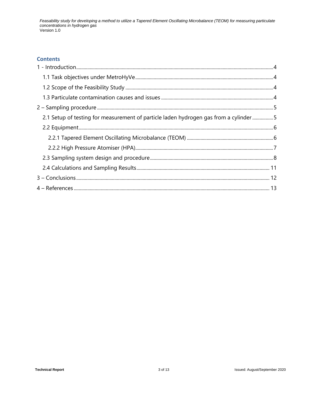#### **Contents**

| 2.1 Setup of testing for measurement of particle laden hydrogen gas from a cylinder5 |  |
|--------------------------------------------------------------------------------------|--|
|                                                                                      |  |
|                                                                                      |  |
|                                                                                      |  |
|                                                                                      |  |
|                                                                                      |  |
|                                                                                      |  |
|                                                                                      |  |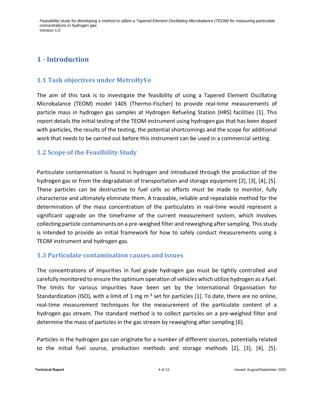# <span id="page-3-0"></span>**1 - Introduction**

# <span id="page-3-1"></span>**1.1 Task objectives under MetroHyVe**

The aim of this task is to investigate the feasibility of using a Tapered Element Oscillating Microbalance (TEOM) model 1405 (Thermo-Fischer) to provide real-time measurements of particle mass in hydrogen gas samples at Hydrogen Refueling Station (HRS) facilities [1]. This report details the initial testing of the TEOM instrument using hydrogen gas that has been doped with particles, the results of the testing, the potential shortcomings and the scope for additional work that needs to be carried out before this instrument can be used in a commercial setting.

## <span id="page-3-2"></span>**1.2 Scope of the Feasibility Study**

Particulate contamination is found in hydrogen and introduced through the production of the hydrogen gas or from the degradation of transportation and storage equipment [2], [3], [4], [5]. These particles can be destructive to fuel cells so efforts must be made to monitor, fully characterize and ultimately eliminate them. A traceable, reliable and repeatable method for the determination of the mass concentration of the particulates in real-time would represent a significant upgrade on the timeframe of the current measurement system, which involves collecting particle contaminants on a pre-weighed filter and reweighing after sampling. This study is intended to provide an initial framework for how to safely conduct measurements using a TEOM instrument and hydrogen gas.

### <span id="page-3-3"></span>**1.3 Particulate contamination causes and issues**

The concentrations of impurities in fuel grade hydrogen gas must be tightly controlled and carefully monitored to ensure the optimum operation of vehicles which utilize hydrogen as a fuel. The limits for various impurities have been set by the International Organisation for Standardization (ISO), with a limit of 1 mg m<sup>-3</sup> set for particles [1]. To date, there are no online, real-time measurement techniques for the measurement of the particulate content of a hydrogen gas stream. The standard method is to collect particles on a pre-weighed filter and determine the mass of particles in the gas stream by reweighing after sampling [6].

Particles in the hydrogen gas can originate for a number of different sources, potentially related to the initial fuel source, production methods and storage methods [2], [3], [4], [5].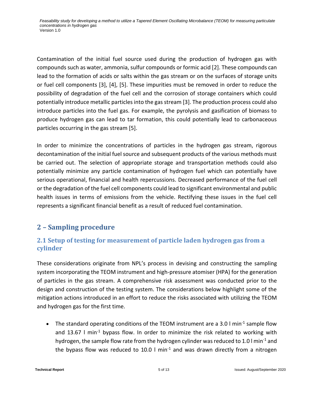Contamination of the initial fuel source used during the production of hydrogen gas with compounds such as water, ammonia, sulfur compounds or formic acid [2]. These compounds can lead to the formation of acids or salts within the gas stream or on the surfaces of storage units or fuel cell components [3], [4], [5]. These impurities must be removed in order to reduce the possibility of degradation of the fuel cell and the corrosion of storage containers which could potentially introduce metallic particles into the gas stream [3]. The production process could also introduce particles into the fuel gas. For example, the pyrolysis and gasification of biomass to produce hydrogen gas can lead to tar formation, this could potentially lead to carbonaceous particles occurring in the gas stream [5].

In order to minimize the concentrations of particles in the hydrogen gas stream, rigorous decontamination of the initial fuel source and subsequent products of the various methods must be carried out. The selection of appropriate storage and transportation methods could also potentially minimize any particle contamination of hydrogen fuel which can potentially have serious operational, financial and health repercussions. Decreased performance of the fuel cell or the degradation of the fuel cell components could lead to significant environmental and public health issues in terms of emissions from the vehicle. Rectifying these issues in the fuel cell represents a significant financial benefit as a result of reduced fuel contamination.

# <span id="page-4-0"></span>**2 – Sampling procedure**

# <span id="page-4-1"></span>**2.1 Setup of testing for measurement of particle laden hydrogen gas from a cylinder**

These considerations originate from NPL's process in devising and constructing the sampling system incorporating the TEOM instrument and high-pressure atomiser (HPA) for the generation of particles in the gas stream. A comprehensive risk assessment was conducted prior to the design and construction of the testing system. The considerations below highlight some of the mitigation actions introduced in an effort to reduce the risks associated with utilizing the TEOM and hydrogen gas for the first time.

• The standard operating conditions of the TEOM instrument are a 3.0  $\text{I min}^{-1}$  sample flow and 13.67  $\frac{1}{2}$  min<sup>-1</sup> bypass flow. In order to minimize the risk related to working with hydrogen, the sample flow rate from the hydrogen cylinder was reduced to 1.0  $\text{I min}^{-1}$  and the bypass flow was reduced to 10.0  $\text{I}$  min<sup>-1</sup> and was drawn directly from a nitrogen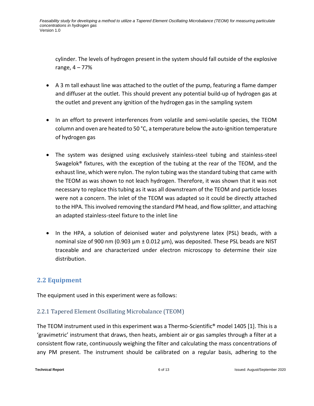cylinder. The levels of hydrogen present in the system should fall outside of the explosive range, 4 – 77%

- A 3 m tall exhaust line was attached to the outlet of the pump, featuring a flame damper and diffuser at the outlet. This should prevent any potential build-up of hydrogen gas at the outlet and prevent any ignition of the hydrogen gas in the sampling system
- In an effort to prevent interferences from volatile and semi-volatile species, the TEOM column and oven are heated to 50 °C, a temperature below the auto-ignition temperature of hydrogen gas
- The system was designed using exclusively stainless-steel tubing and stainless-steel Swagelok® fixtures, with the exception of the tubing at the rear of the TEOM, and the exhaust line, which were nylon. The nylon tubing was the standard tubing that came with the TEOM as was shown to not leach hydrogen. Therefore, it was shown that it was not necessary to replace this tubing as it was all downstream of the TEOM and particle losses were not a concern. The inlet of the TEOM was adapted so it could be directly attached to the HPA. This involved removing the standard PM head, and flow splitter, and attaching an adapted stainless-steel fixture to the inlet line
- In the HPA, a solution of deionised water and polystyrene latex (PSL) beads, with a nominal size of 900 nm (0.903  $\mu$ m  $\pm$  0.012  $\mu$ m), was deposited. These PSL beads are NIST traceable and are characterized under electron microscopy to determine their size distribution.

# <span id="page-5-0"></span>**2.2 Equipment**

The equipment used in this experiment were as follows:

### <span id="page-5-1"></span>2.2.1 Tapered Element Oscillating Microbalance (TEOM)

The TEOM instrument used in this experiment was a Thermo-Scientific® model 1405 [1]. This is a 'gravimetric' instrument that draws, then heats, ambient air or gas samples through a filter at a consistent flow rate, continuously weighing the filter and calculating the mass concentrations of any PM present. The instrument should be calibrated on a regular basis, adhering to the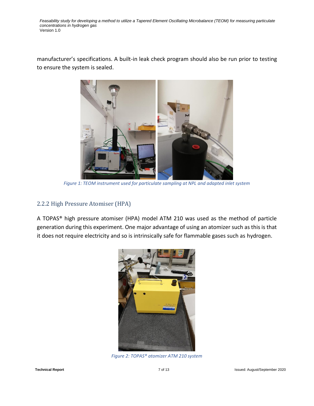manufacturer's specifications. A built-in leak check program should also be run prior to testing to ensure the system is sealed.



*Figure 1: TEOM instrument used for particulate sampling at NPL and adapted inlet system*

#### <span id="page-6-0"></span>2.2.2 High Pressure Atomiser (HPA)

A TOPAS® high pressure atomiser (HPA) model ATM 210 was used as the method of particle generation during this experiment. One major advantage of using an atomizer such as this is that it does not require electricity and so is intrinsically safe for flammable gases such as hydrogen.



*Figure 2: TOPAS® atomizer ATM 210 system*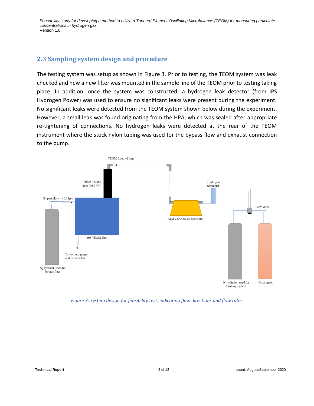### <span id="page-7-0"></span>**2.3 Sampling system design and procedure**

The testing system was setup as shown in Figure 3. Prior to testing, the TEOM system was leak checked and new a new filter was mounted in the sample line of the TEOM prior to testing taking place. In addition, once the system was constructed, a hydrogen leak detector (from IPS Hydrogen Power) was used to ensure no significant leaks were present during the experiment. No significant leaks were detected from the TEOM system shown below during the experiment. However, a small leak was found originating from the HPA, which was sealed after appropriate re-tightening of connections. No hydrogen leaks were detected at the rear of the TEOM instrument where the stock nylon tubing was used for the bypass flow and exhaust connection to the pump.



*Figure 3: System design for feasibility test, indicating flow directions and flow rates*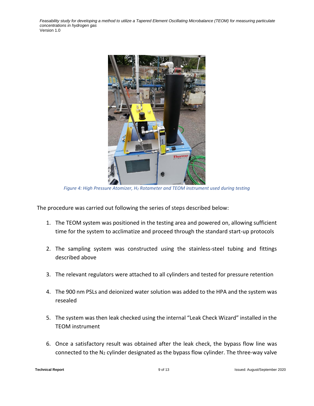

*Figure 4: High Pressure Atomizer, H<sup>2</sup> Rotameter and TEOM instrument used during testing*

The procedure was carried out following the series of steps described below:

- 1. The TEOM system was positioned in the testing area and powered on, allowing sufficient time for the system to acclimatize and proceed through the standard start-up protocols
- 2. The sampling system was constructed using the stainless-steel tubing and fittings described above
- 3. The relevant regulators were attached to all cylinders and tested for pressure retention
- 4. The 900 nm PSLs and deionized water solution was added to the HPA and the system was resealed
- 5. The system was then leak checked using the internal "Leak Check Wizard" installed in the TEOM instrument
- 6. Once a satisfactory result was obtained after the leak check, the bypass flow line was connected to the  $N_2$  cylinder designated as the bypass flow cylinder. The three-way valve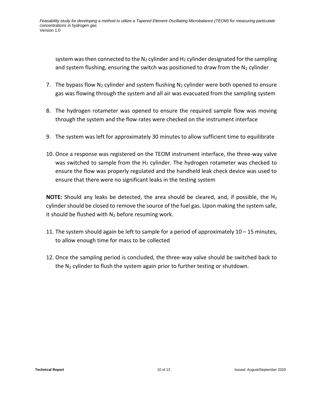system was then connected to the  $N_2$  cylinder and  $H_2$  cylinder designated for the sampling and system flushing, ensuring the switch was positioned to draw from the  $N_2$  cylinder

- 7. The bypass flow  $N_2$  cylinder and system flushing  $N_2$  cylinder were both opened to ensure gas was flowing through the system and all air was evacuated from the sampling system
- 8. The hydrogen rotameter was opened to ensure the required sample flow was moving through the system and the flow rates were checked on the instrument interface
- 9. The system was left for approximately 30 minutes to allow sufficient time to equilibrate
- 10. Once a response was registered on the TEOM instrument interface, the three-way valve was switched to sample from the  $H_2$  cylinder. The hydrogen rotameter was checked to ensure the flow was properly regulated and the handheld leak check device was used to ensure that there were no significant leaks in the testing system

**NOTE:** Should any leaks be detected, the area should be cleared, and, if possible, the H<sup>2</sup> cylinder should be closed to remove the source of the fuel gas. Upon making the system safe, it should be flushed with  $N_2$  before resuming work.

- 11. The system should again be left to sample for a period of approximately 10 15 minutes, to allow enough time for mass to be collected
- 12. Once the sampling period is concluded, the three-way valve should be switched back to the  $N_2$  cylinder to flush the system again prior to further testing or shutdown.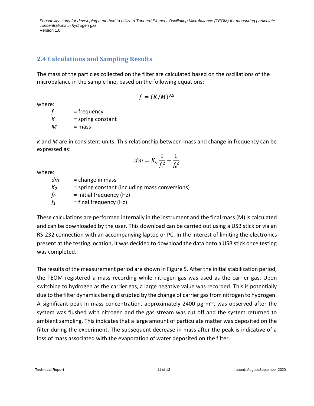### <span id="page-10-0"></span>**2.4 Calculations and Sampling Results**

The mass of the particles collected on the filter are calculated based on the oscillations of the microbalance in the sample line, based on the following equations;

$$
f=(K/M)^{0.5}\,
$$

where:

 $f = frequency$  $K =$ spring constant  $M =$  mass

*K* and *M* are in consistent units. This relationship between mass and change in frequency can be expressed as:

$$
dm = K_0 \frac{1}{f_1^2} - \frac{1}{f_0^2}
$$

where:

*dm* = change in mass  $K_0$  = spring constant (including mass conversions)  $f_0$  = initial frequency (Hz)  $f_1$  = final frequency (Hz)

These calculations are performed internally in the instrument and the final mass (M) is calculated and can be downloaded by the user. This download can be carried out using a USB stick or via an RS-232 connection with an accompanying laptop or PC. In the interest of limiting the electronics present at the testing location, it was decided to download the data onto a USB stick once testing was completed.

The results of the measurement period are shown in Figure 5. After the initial stabilization period, the TEOM registered a mass recording while nitrogen gas was used as the carrier gas. Upon switching to hydrogen as the carrier gas, a large negative value was recorded. This is potentially due to the filter dynamics being disrupted by the change of carrier gas from nitrogen to hydrogen. A significant peak in mass concentration, approximately 2400  $\mu$ g m<sup>-3</sup>, was observed after the system was flushed with nitrogen and the gas stream was cut off and the system returned to ambient sampling. This indicates that a large amount of particulate matter was deposited on the filter during the experiment. The subsequent decrease in mass after the peak is indicative of a loss of mass associated with the evaporation of water deposited on the filter.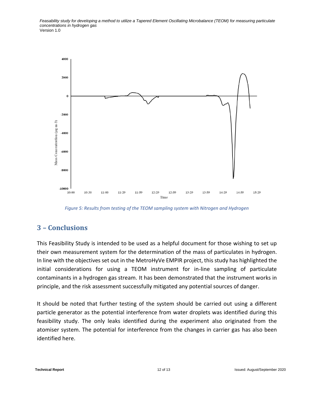

*Figure 5: Results from testing of the TEOM sampling system with Nitrogen and Hydrogen*

# <span id="page-11-0"></span>**3 – Conclusions**

This Feasibility Study is intended to be used as a helpful document for those wishing to set up their own measurement system for the determination of the mass of particulates in hydrogen. In line with the objectives set out in the MetroHyVe EMPIR project, this study has highlighted the initial considerations for using a TEOM instrument for in-line sampling of particulate contaminants in a hydrogen gas stream. It has been demonstrated that the instrument works in principle, and the risk assessment successfully mitigated any potential sources of danger.

It should be noted that further testing of the system should be carried out using a different particle generator as the potential interference from water droplets was identified during this feasibility study. The only leaks identified during the experiment also originated from the atomiser system. The potential for interference from the changes in carrier gas has also been identified here.